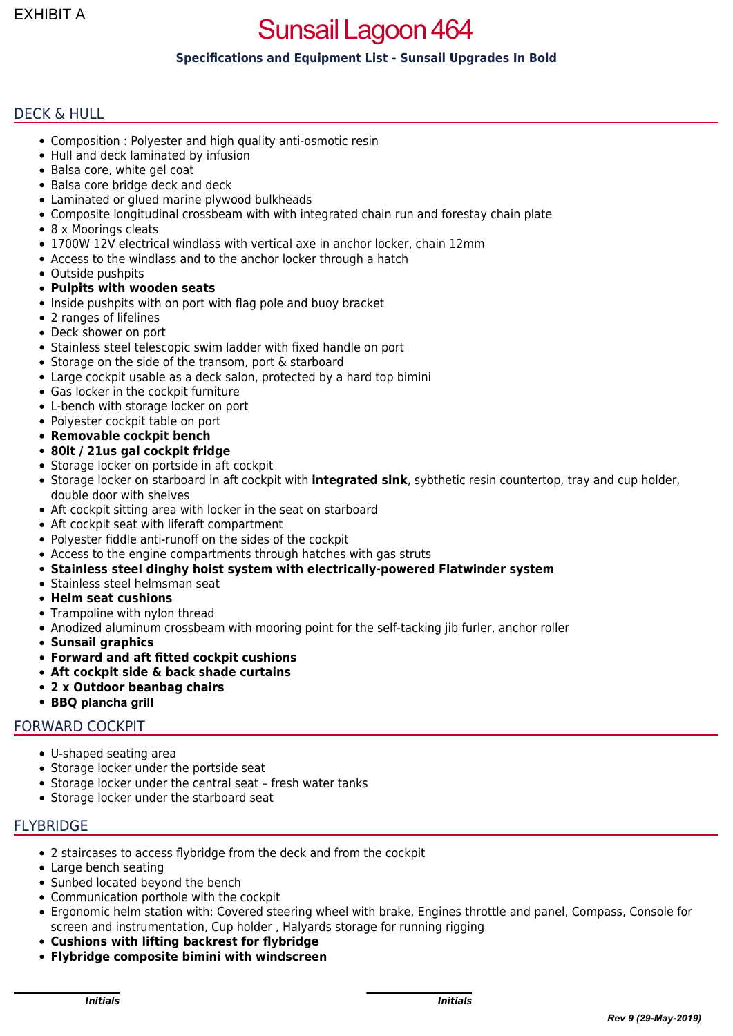# Sunsail Lagoon 464

# **Specifications and Equipment List - Sunsail Upgrades In Bold**

## DECK & HULL

- Composition : Polyester and high quality anti-osmotic resin
- Hull and deck laminated by infusion
- Balsa core, white gel coat
- Balsa core bridge deck and deck
- Laminated or glued marine plywood bulkheads
- Composite longitudinal crossbeam with with integrated chain run and forestay chain plate
- 8 x Moorings cleats
- 1700W 12V electrical windlass with vertical axe in anchor locker, chain 12mm
- Access to the windlass and to the anchor locker through a hatch
- Outside pushpits
- **Pulpits with wooden seats**
- Inside pushpits with on port with flag pole and buoy bracket
- 2 ranges of lifelines
- Deck shower on port
- Stainless steel telescopic swim ladder with fixed handle on port
- Storage on the side of the transom, port & starboard
- Large cockpit usable as a deck salon, protected by a hard top bimini
- Gas locker in the cockpit furniture
- L-bench with storage locker on port
- Polyester cockpit table on port
- **Removable cockpit bench**
- **80lt / 21us gal cockpit fridge**
- Storage locker on portside in aft cockpit
- Storage locker on starboard in aft cockpit with **integrated sink**, sybthetic resin countertop, tray and cup holder, double door with shelves
- Aft cockpit sitting area with locker in the seat on starboard
- Aft cockpit seat with liferaft compartment
- Polyester fiddle anti-runoff on the sides of the cockpit
- Access to the engine compartments through hatches with gas struts
- **Stainless steel dinghy hoist system with electrically-powered Flatwinder system**
- Stainless steel helmsman seat
- **Helm seat cushions**
- Trampoline with nylon thread
- Anodized aluminum crossbeam with mooring point for the self-tacking jib furler, anchor roller
- **Sunsail graphics**
- **Forward and aft fitted cockpit cushions**
- **Aft cockpit side & back shade curtains**
- **2 x Outdoor beanbag chairs**
- **BBQ plancha grill**

#### FORWARD COCKPIT

- U-shaped seating area
- Storage locker under the portside seat
- Storage locker under the central seat fresh water tanks
- Storage locker under the starboard seat

#### FLYBRIDGE

- 2 staircases to access flybridge from the deck and from the cockpit
- Large bench seating
- Sunbed located beyond the bench
- Communication porthole with the cockpit
- Ergonomic helm station with: Covered steering wheel with brake, Engines throttle and panel, Compass, Console for screen and instrumentation, Cup holder , Halyards storage for running rigging
- **Cushions with lifting backrest for flybridge**
- **Flybridge composite bimini with windscreen**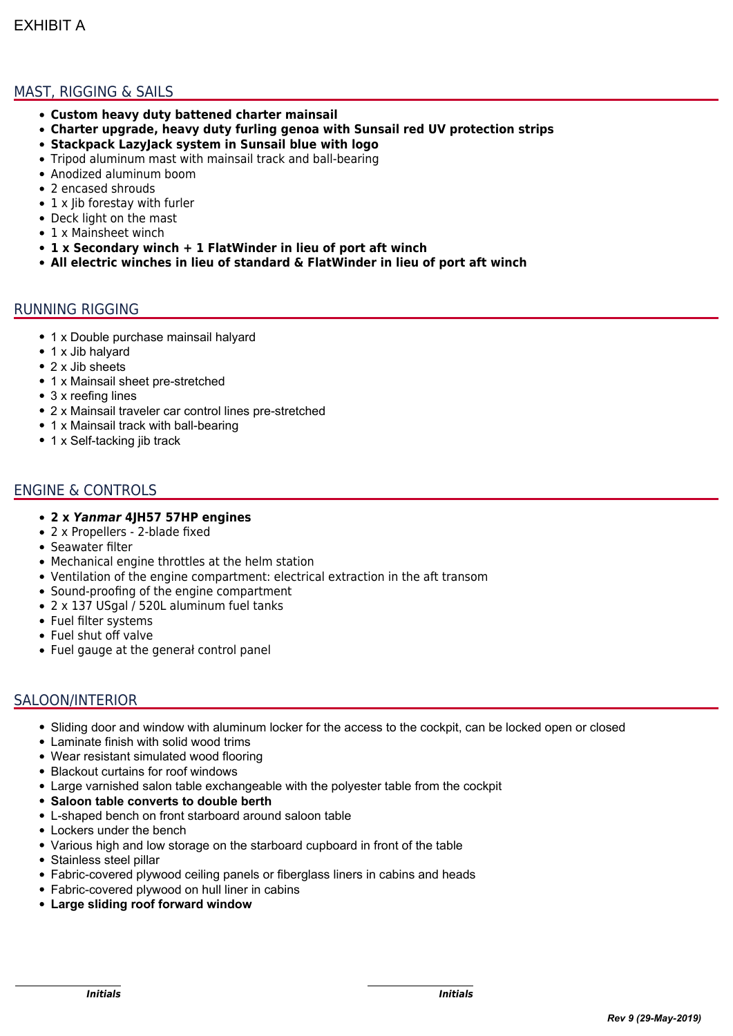# MAST, RIGGING & SAILS

- **Custom heavy duty battened charter mainsail**
- **Charter upgrade, heavy duty furling genoa with Sunsail red UV protection strips**
- **Stackpack LazyJack system in Sunsail blue with logo**
- Tripod aluminum mast with mainsail track and ball-bearing
- Anodized aluminum boom
- 2 encased shrouds
- 1 x lib forestay with furler
- Deck light on the mast
- 1 x Mainsheet winch
- **1 x Secondary winch + 1 FlatWinder in lieu of port aft winch**
- **All electric winches in lieu of standard & FlatWinder in lieu of port aft winch**

#### RUNNING RIGGING

- 1 x Double purchase mainsail halyard
- 1 x Jib halyard
- 2 x Jib sheets
- 1 x Mainsail sheet pre-stretched
- 3 x reefing lines
- 2 x Mainsail traveler car control lines pre-stretched
- 1 x Mainsail track with ball-bearing
- 1 x Self-tacking jib track

## ENGINE & CONTROLS

- **2 x** *Yanmar* **4JH57 57HP engines**
- 2 x Propellers 2-blade fixed
- Seawater filter
- Mechanical engine throttles at the helm station
- Ventilation of the engine compartment: electrical extraction in the aft transom
- Sound-proofing of the engine compartment
- 2 x 137 USgal / 520L aluminum fuel tanks
- Fuel filter systems
- Fuel shut off valve
- Fuel gauge at the generał control panel

## SALOON/INTERIOR

- Sliding door and window with aluminum locker for the access to the cockpit, can be locked open or closed
- Laminate finish with solid wood trims
- Wear resistant simulated wood flooring
- Blackout curtains for roof windows
- Large varnished salon table exchangeable with the polyester table from the cockpit
- **Saloon table converts to double berth**
- L-shaped bench on front starboard around saloon table
- **.** Lockers under the bench
- Various high and low storage on the starboard cupboard in front of the table
- Stainless steel pillar
- Fabric-covered plywood ceiling panels or fiberglass liners in cabins and heads
- Fabric-covered plywood on hull liner in cabins
- **Large sliding roof forward window**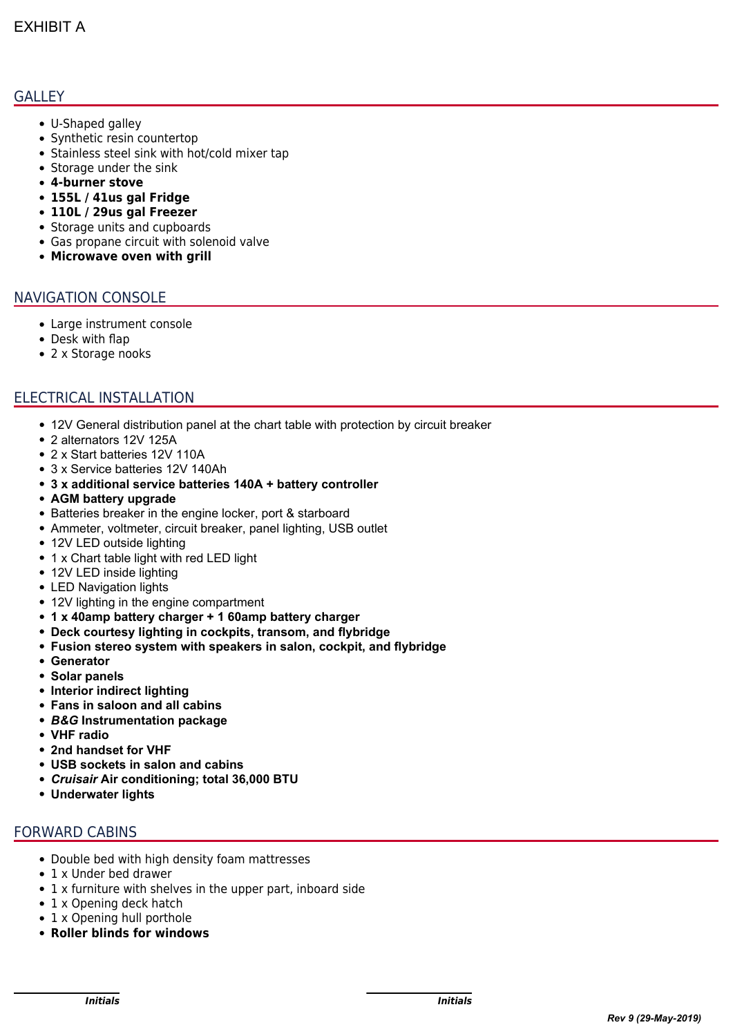## **GALLEY**

- U-Shaped galley
- Synthetic resin countertop
- Stainless steel sink with hot/cold mixer tap
- Storage under the sink
- **4-burner stove**
- **155L / 41us gal Fridge**
- **110L / 29us gal Freezer**
- Storage units and cupboards
- Gas propane circuit with solenoid valve
- **Microwave oven with grill**

## NAVIGATION CONSOLE

- Large instrument console
- Desk with flap
- 2 x Storage nooks

## ELECTRICAL INSTALLATION

- 12V General distribution panel at the chart table with protection by circuit breaker
- 2 alternators 12V 125A
- 2 x Start batteries 12V 110A
- 3 x Service batteries 12V 140Ah
- **3 x additional service batteries 140A + battery controller**
- **AGM battery upgrade**
- Batteries breaker in the engine locker, port & starboard
- Ammeter, voltmeter, circuit breaker, panel lighting, USB outlet
- 12V LED outside lighting
- 1 x Chart table light with red LED light
- 12V LED inside lighting
- LED Navigation lights
- 12V lighting in the engine compartment
- **1 x 40amp battery charger + 1 60amp battery charger**
- **Deck courtesy lighting in cockpits, transom, and flybridge**
- **Fusion stereo system with speakers in salon, cockpit, and flybridge**
- **Generator**
- **Solar panels**
- **Interior indirect lighting**
- **Fans in saloon and all cabins**
- *B&G* **Instrumentation package**
- **VHF radio**
- **2nd handset for VHF**
- **USB sockets in salon and cabins**
- *Cruisair* **Air conditioning; total 36,000 BTU**
- **Underwater lights**

## FORWARD CABINS

- Double bed with high density foam mattresses
- 1 x Under bed drawer
- 1 x furniture with shelves in the upper part, inboard side
- 1 x Opening deck hatch
- 1 x Opening hull porthole
- **Roller blinds for windows**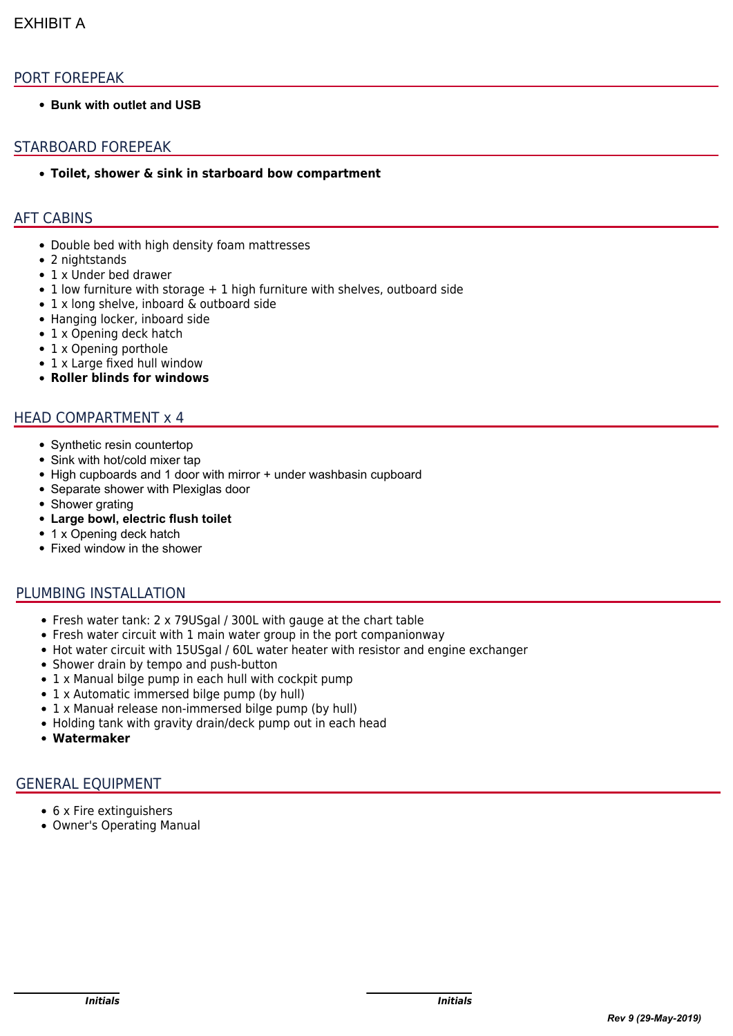## PORT FOREPEAK

**• Bunk with outlet and USB** 

## STARBOARD FOREPEAK

**Toilet, shower & sink in starboard bow compartment**

### AFT CABINS

- Double bed with high density foam mattresses
- 2 nightstands
- 1 x Under bed drawer
- $\bullet$  1 low furniture with storage  $+$  1 high furniture with shelves, outboard side
- 1 x long shelve, inboard & outboard side
- Hanging locker, inboard side
- 1 x Opening deck hatch
- 1 x Opening porthole
- 1 x Large fixed hull window
- **Roller blinds for windows**

#### HEAD COMPARTMENT x 4

- Synthetic resin countertop
- Sink with hot/cold mixer tap
- High cupboards and 1 door with mirror + under washbasin cupboard
- Separate shower with Plexiglas door
- Shower grating
- **Large bowl, electric flush toilet**
- 1 x Opening deck hatch
- Fixed window in the shower

#### PLUMBING INSTALLATION

- Fresh water tank: 2 x 79USgal / 300L with gauge at the chart table
- Fresh water circuit with 1 main water group in the port companionway
- Hot water circuit with 15USgal / 60L water heater with resistor and engine exchanger
- Shower drain by tempo and push-button
- 1 x Manual bilge pump in each hull with cockpit pump
- 1 x Automatic immersed bilge pump (by hull)
- 1 x Manuał release non-immersed bilge pump (by hull)
- Holding tank with gravity drain/deck pump out in each head
- **Watermaker**

# GENERAL EQUIPMENT

- 6 x Fire extinguishers
- Owner's Operating Manual